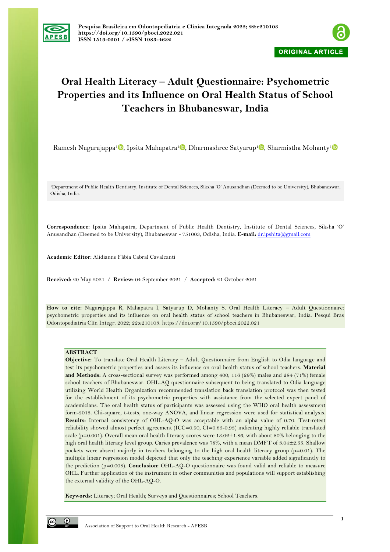



# **Oral Health Literacy – Adult Questionnaire: Psychometric Properties and its Influence on Oral Health Status of School Teachers in Bhubaneswar, India**

Ramesh Nagarajappa<sup>[1](https://orcid.org/0000-0002-4969-5830)</sup> , Ipsita Mahapatra<sup>1</sup> , Dharmashree Satyarup<sup>1</sup> , Sharmistha Mohanty<sup>1</sup>

1Department of Public Health Dentistry, Institute of Dental Sciences, Siksha 'O' Anusandhan (Deemed to be University), Bhubaneswar, Odisha, India.

**Correspondence:** Ipsita Mahapatra, Department of Public Health Dentistry, Institute of Dental Sciences, Siksha 'O' Anusandhan (Deemed to be University), Bhubaneswar - 751003, Odisha, India. **E-mail:** dr.ipshita@gmail.com

**Academic Editor:** Alidianne Fábia Cabral Cavalcanti

**Received:** 20 May 2021 / **Review:** 04 September 2021 / **Accepted:** 21 October 2021

**How to cite:** Nagarajappa R, Mahapatra I, Satyarup D, Mohanty S. Oral Health Literacy – Adult Questionnaire: psychometric properties and its influence on oral health status of school teachers in Bhubaneswar, India. Pesqui Bras Odontopediatria Clín Integr. 2022; 22:e210103. https://doi.org/10.1590/pboci.2022.021

# **ABSTRACT**

**Objective:** To translate Oral Health Literacy – Adult Questionnaire from English to Odia language and test its psychometric properties and assess its influence on oral health status of school teachers. **Material and Methods:** A cross-sectional survey was performed among 400; 116 (29%) males and 284 (71%) female school teachers of Bhubaneswar. OHL-AQ questionnaire subsequent to being translated to Odia language utilizing World Health Organization recommended translation back translation protocol was then tested for the establishment of its psychometric properties with assistance from the selected expert panel of academicians. The oral health status of participants was assessed using the WHO oral health assessment form-2013. Chi-square, t-tests, one-way ANOVA, and linear regression were used for statistical analysis. **Results:** Internal consistency of OHL-AQ-O was acceptable with an alpha value of 0.70. Test-retest reliability showed almost perfect agreement (ICC=0.90, CI=0.85-0.93) indicating highly reliable translated scale (p=0.001). Overall mean oral health literacy scores were 13.02±1.86, with about 80% belonging to the high oral health literacy level group. Caries prevalence was 78%, with a mean DMFT of 3.04±2.55. Shallow pockets were absent majorly in teachers belonging to the high oral health literacy group (p=0.01). The multiple linear regression model depicted that only the teaching experience variable added significantly to the prediction (p=0.008). **Conclusion:** OHL-AQ-O questionnaire was found valid and reliable to measure OHL. Further application of the instrument in other communities and populations will support establishing the external validity of the OHL-AQ-O.

**Keywords:** Literacy; Oral Health; Surveys and Questionnaires; School Teachers.

 $\odot$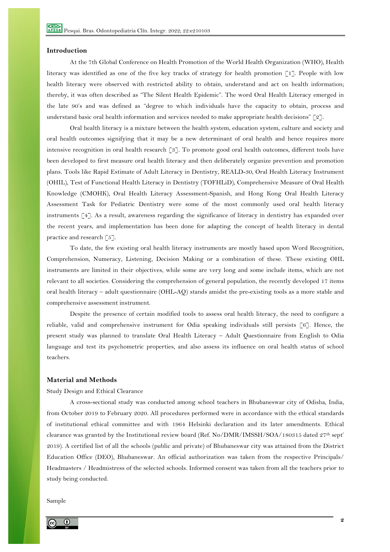# **Introduction**

At the 7th Global Conference on Health Promotion of the World Health Organization (WHO), Health literacy was identified as one of the five key tracks of strategy for health promotion [1]. People with low health literacy were observed with restricted ability to obtain, understand and act on health information; thereby, it was often described as "The Silent Health Epidemic". The word Oral Health Literacy emerged in the late 90's and was defined as "degree to which individuals have the capacity to obtain, process and understand basic oral health information and services needed to make appropriate health decisions" [2].

Oral health literacy is a mixture between the health system, education system, culture and society and oral health outcomes signifying that it may be a new determinant of oral health and hence requires more intensive recognition in oral health research [3]. To promote good oral health outcomes, different tools have been developed to first measure oral health literacy and then deliberately organize prevention and promotion plans. Tools like Rapid Estimate of Adult Literacy in Dentistry, REALD-30, Oral Health Literacy Instrument (OHIL), Test of Functional Health Literacy in Dentistry (TOFHLiD), Comprehensive Measure of Oral Health Knowledge (CMOHK), Oral Health Literacy Assessment-Spanish, and Hong Kong Oral Health Literacy Assessment Task for Pediatric Dentistry were some of the most commonly used oral health literacy instruments [4]. As a result, awareness regarding the significance of literacy in dentistry has expanded over the recent years, and implementation has been done for adapting the concept of health literacy in dental practice and research  $\lceil 5 \rceil$ .

To date, the few existing oral health literacy instruments are mostly based upon Word Recognition, Comprehension, Numeracy, Listening, Decision Making or a combination of these. These existing OHL instruments are limited in their objectives, while some are very long and some include items, which are not relevant to all societies. Considering the comprehension of general population, the recently developed 17 items oral health literacy – adult questionnaire (OHL-AQ) stands amidst the pre-existing tools as a more stable and comprehensive assessment instrument.

Despite the presence of certain modified tools to assess oral health literacy, the need to configure a reliable, valid and comprehensive instrument for Odia speaking individuals still persists [6]. Hence, the present study was planned to translate Oral Health Literacy – Adult Questionnaire from English to Odia language and test its psychometric properties, and also assess its influence on oral health status of school teachers.

# **Material and Methods**

#### Study Design and Ethical Clearance

A cross-sectional study was conducted among school teachers in Bhubaneswar city of Odisha, India, from October 2019 to February 2020. All procedures performed were in accordance with the ethical standards of institutional ethical committee and with 1964 Helsinki declaration and its later amendments. Ethical clearance was granted by the Institutional review board (Ref. No/DMR/IMSSH/SOA/180315 dated 27th sept' 2019). A certified list of all the schools (public and private) of Bhubaneswar city was attained from the District Education Office (DEO), Bhubaneswar. An official authorization was taken from the respective Principals/ Headmasters / Headmistress of the selected schools. Informed consent was taken from all the teachers prior to study being conducted.

Sample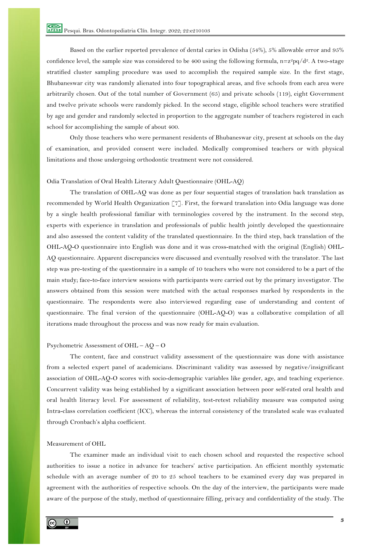Based on the earlier reported prevalence of dental caries in Odisha (54%), 5% allowable error and 95% confidence level, the sample size was considered to be 400 using the following formula, n=z<sup>2</sup>pq/d<sup>2</sup>. A two-stage stratified cluster sampling procedure was used to accomplish the required sample size. In the first stage, Bhubaneswar city was randomly alienated into four topographical areas, and five schools from each area were arbitrarily chosen. Out of the total number of Government (65) and private schools (119), eight Government and twelve private schools were randomly picked. In the second stage, eligible school teachers were stratified by age and gender and randomly selected in proportion to the aggregate number of teachers registered in each school for accomplishing the sample of about 400.

Only those teachers who were permanent residents of Bhubaneswar city, present at schools on the day of examination, and provided consent were included. Medically compromised teachers or with physical limitations and those undergoing orthodontic treatment were not considered.

# Odia Translation of Oral Health Literacy Adult Questionnaire (OHL-AQ)

The translation of OHL-AQ was done as per four sequential stages of translation back translation as recommended by World Health Organization [7]. First, the forward translation into Odia language was done by a single health professional familiar with terminologies covered by the instrument. In the second step, experts with experience in translation and professionals of public health jointly developed the questionnaire and also assessed the content validity of the translated questionnaire. In the third step, back translation of the OHL-AQ-O questionnaire into English was done and it was cross-matched with the original (English) OHL-AQ questionnaire. Apparent discrepancies were discussed and eventually resolved with the translator. The last step was pre-testing of the questionnaire in a sample of 10 teachers who were not considered to be a part of the main study; face-to-face interview sessions with participants were carried out by the primary investigator. The answers obtained from this session were matched with the actual responses marked by respondents in the questionnaire. The respondents were also interviewed regarding ease of understanding and content of questionnaire. The final version of the questionnaire (OHL-AQ-O) was a collaborative compilation of all iterations made throughout the process and was now ready for main evaluation.

### Psychometric Assessment of OHL – AQ – O

The content, face and construct validity assessment of the questionnaire was done with assistance from a selected expert panel of academicians. Discriminant validity was assessed by negative/insignificant association of OHL-AQ-O scores with socio-demographic variables like gender, age, and teaching experience. Concurrent validity was being established by a significant association between poor self-rated oral health and oral health literacy level. For assessment of reliability, test-retest reliability measure was computed using Intra-class correlation coefficient (ICC), whereas the internal consistency of the translated scale was evaluated through Cronbach's alpha coefficient.

# Measurement of OHL

The examiner made an individual visit to each chosen school and requested the respective school authorities to issue a notice in advance for teachers' active participation. An efficient monthly systematic schedule with an average number of 20 to 25 school teachers to be examined every day was prepared in agreement with the authorities of respective schools. On the day of the interview, the participants were made aware of the purpose of the study, method of questionnaire filling, privacy and confidentiality of the study. The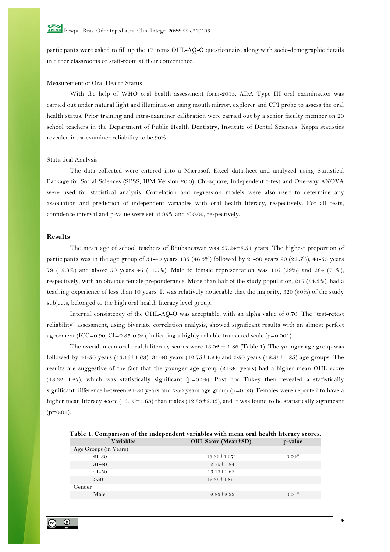participants were asked to fill up the 17 items OHL-AQ-O questionnaire along with socio-demographic details in either classrooms or staff-room at their convenience.

# Measurement of Oral Health Status

With the help of WHO oral health assessment form-2013, ADA Type III oral examination was carried out under natural light and illumination using mouth mirror, explorer and CPI probe to assess the oral health status. Prior training and intra-examiner calibration were carried out by a senior faculty member on 20 school teachers in the Department of Public Health Dentistry, Institute of Dental Sciences. Kappa statistics revealed intra-examiner reliability to be 90%.

### Statistical Analysis

The data collected were entered into a Microsoft Excel datasheet and analyzed using Statistical Package for Social Sciences (SPSS, IBM Version 20.0). Chi-square, Independent t-test and One-way ANOVA were used for statistical analysis. Correlation and regression models were also used to determine any association and prediction of independent variables with oral health literacy, respectively. For all tests, confidence interval and p-value were set at  $95\%$  and  $\leq 0.05$ , respectively.

### **Results**

The mean age of school teachers of Bhubaneswar was 37.24±8.51 years. The highest proportion of participants was in the age group of 31-40 years 185 (46.3%) followed by 21-30 years 90 (22.5%), 41-50 years 79 (19.8%) and above 50 years 46 (11.5%). Male to female representation was 116 (29%) and 284 (71%), respectively, with an obvious female preponderance. More than half of the study population, 217 (54.3%), had a teaching experience of less than 10 years. It was relatively noticeable that the majority, 320 (80%) of the study subjects, belonged to the high oral health literacy level group.

Internal consistency of the OHL-AQ-O was acceptable, with an alpha value of 0.70. The "test-retest reliability" assessment, using bivariate correlation analysis, showed significant results with an almost perfect agreement (ICC=0.90, CI=0.85-0.93), indicating a highly reliable translated scale ( $p=0.001$ ).

The overall mean oral health literacy scores were  $13.02 \pm 1.86$  (Table 1). The younger age group was followed by 41-50 years (13.13±1.63), 31-40 years (12.75±1.24) and >50 years (12.35±1.85) age groups. The results are suggestive of the fact that the younger age group (21-30 years) had a higher mean OHL score (13.32±1.27), which was statistically significant (p=0.04). Post hoc Tukey then revealed a statistically significant difference between 21-30 years and >50 years age group (p=0.03). Females were reported to have a higher mean literacy score (13.10 $\pm$ 1.63) than males (12.83 $\pm$ 2.33), and it was found to be statistically significant  $(p=0.01)$ .

**Table 1. Comparison of the independent variables with mean oral health literacy scores.**

| <b>Variables</b>      | <b>OHL Score (Mean±SD)</b>    | p-value |
|-----------------------|-------------------------------|---------|
| Age Groups (in Years) |                               |         |
| $21 - 30$             | $13.32 \pm 1.27$ <sup>a</sup> | $0.04*$ |
| $31 - 40$             | $12.75 \pm 1.24$              |         |
| $41 - 50$             | $13.13 \pm 1.63$              |         |
| >50                   | $12.35 \pm 1.85^a$            |         |
| Gender                |                               |         |
| Male                  | $12.83 \pm 2.33$              | $0.01*$ |
|                       |                               |         |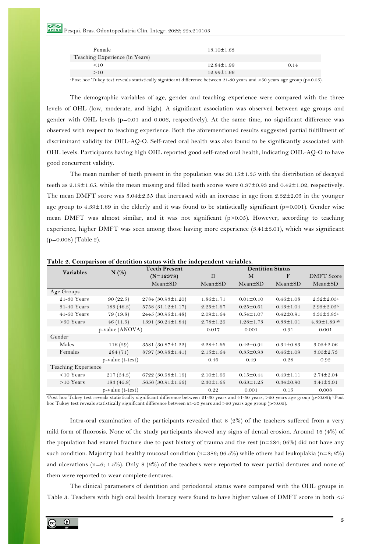| Female                         | $13.10 \pm 1.63$ |      |
|--------------------------------|------------------|------|
| Teaching Experience (in Years) |                  |      |
| <10                            | $12.84 \pm 1.99$ | 0.14 |
| >10                            | $12.99 \pm 1.66$ |      |

<sup>a</sup>Post hoc Tukey test reveals statistically significant difference between 21-30 years and >50 years age group (p<0.05).

The demographic variables of age, gender and teaching experience were compared with the three levels of OHL (low, moderate, and high). A significant association was observed between age groups and gender with OHL levels ( $p=0.01$  and 0.006, respectively). At the same time, no significant difference was observed with respect to teaching experience. Both the aforementioned results suggested partial fulfillment of discriminant validity for OHL-AQ-O. Self-rated oral health was also found to be significantly associated with OHL levels. Participants having high OHL reported good self-rated oral health, indicating OHL-AQ-O to have good concurrent validity.

The mean number of teeth present in the population was  $30.15 \pm 1.35$  with the distribution of decayed teeth as 2.19±1.65, while the mean missing and filled teeth scores were 0.37±0.93 and 0.42±1.02, respectively. The mean DMFT score was  $3.04\pm2.55$  that increased with an increase in age from  $2.32\pm2.05$  in the younger age group to 4.39±1.89 in the elderly and it was found to be statistically significant (p=0.001). Gender wise mean DMFT was almost similar, and it was not significant (p>0.05). However, according to teaching experience, higher DMFT was seen among those having more experience (3.41±3.01), which was significant (p=0.008) (Table 2).

|                     |                  | <b>Teeth Present</b>    | <b>Dentition Status</b> |                 |                 |                              |
|---------------------|------------------|-------------------------|-------------------------|-----------------|-----------------|------------------------------|
| <b>Variables</b>    | N(%)             | $(N=12378)$             | D                       | M               | $\mathbf{F}$    | <b>DMFT</b> Score            |
|                     |                  | $Mean \pm SD$           | $Mean \pm SD$           | $Mean \pm SD$   | $Mean \pm SD$   | $Mean \pm SD$                |
| Age Groups          |                  |                         |                         |                 |                 |                              |
| $21-30$ Years       | 90(22.5)         | $2784(30.93\pm1.20)$    | $1.86 \pm 1.71$         | $0.01 \pm 0.10$ | $0.46 \pm 1.08$ | $2.32 \pm 2.05^a$            |
| 31-40 Years         | 185(46.3)        | $5758(31.12 \pm 1.17)$  | $2.25 \pm 1.67$         | $0.25 \pm 0.61$ | $0.43 \pm 1.04$ | $2.93 \pm 2.05^{\rm b}$      |
| $41-50$ Years       | 79(19.8)         | $2445(30.95\pm1.48)$    | $2.09 \pm 1.64$         | $0.54 \pm 1.07$ | $0.42 \pm 0.91$ | $3.35 \pm 3.83$ <sup>a</sup> |
| $>50$ Years         | 46(11.5)         | 1391 $(30.24 \pm 1.84)$ | $2.78 \pm 1.26$         | $1.28 \pm 1.73$ | $0.33 \pm 1.01$ | $4.39 \pm 1.89$ ab           |
|                     | p-value (ANOVA)  |                         | 0.017                   | 0.001           | 0.91            | 0.001                        |
| Gender              |                  |                         |                         |                 |                 |                              |
| Males               | 116(29)          | $3581 (30.87 \pm 1.22)$ | $2.28 \pm 1.66$         | $0.42 \pm 0.94$ | $0.34 \pm 0.83$ | $3.03 \pm 2.06$              |
| Females             | 284(71)          | $8797(30.98\pm1.41)$    | $2.15 \pm 1.64$         | $0.35 \pm 0.93$ | $0.46 \pm 1.09$ | $3.05 \pm 2.73$              |
|                     | p-value (t-test) |                         | 0.46                    | 0.49            | 0.28            | 0.92                         |
| Teaching Experience |                  |                         |                         |                 |                 |                              |
| $<$ 10 Years        | 217(54.3)        | $6722(30.98\pm1.16)$    | $2.10 \pm 1.66$         | $0.15 \pm 0.44$ | $0.49 \pm 1.11$ | $2.74 \pm 2.04$              |
| $>10$ Years         | 183(45.8)        | $5656(30.91 \pm 1.56)$  | $2.30 \pm 1.65$         | $0.63 \pm 1.25$ | $0.34 \pm 0.90$ | $3.41 \pm 3.01$              |
|                     | p-value (t-test) |                         | 0.22                    | 0.001           | 0.15            | 0.008                        |

**Table 2. Comparison of dentition status with the independent variables.**

<sup>a</sup>Post hoc Tukey test reveals statistically significant difference between 21-30 years and 41-50 years, >50 years age group (p<0.05); <sup>b</sup>Post hoc Tukey test reveals statistically significant difference between 21-30 years and >50 years age group (p<0.05).

Intra-oral examination of the participants revealed that 8 (2%) of the teachers suffered from a very mild form of fluorosis. None of the study participants showed any signs of dental erosion. Around 16 (4%) of the population had enamel fracture due to past history of trauma and the rest ( $n=384$ ;  $96\%$ ) did not have any such condition. Majority had healthy mucosal condition (n=386; 96.5%) while others had leukoplakia (n=8; 2%) and ulcerations (n=6; 1.5%). Only 8 (2%) of the teachers were reported to wear partial dentures and none of them were reported to wear complete dentures.

The clinical parameters of dentition and periodontal status were compared with the OHL groups in Table 3. Teachers with high oral health literacy were found to have higher values of DMFT score in both <5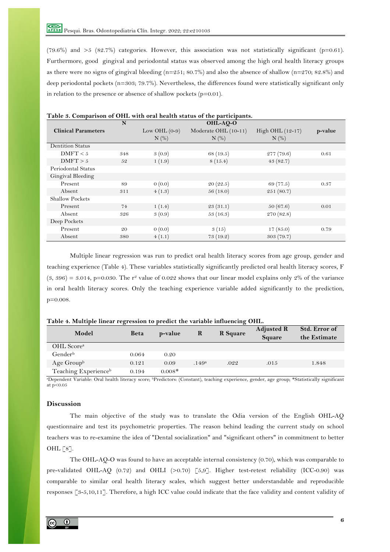(79.6%) and  $>5$  (82.7%) categories. However, this association was not statistically significant (p=0.61). Furthermore, good gingival and periodontal status was observed among the high oral health literacy groups as there were no signs of gingival bleeding ( $n=251$ ; 80.7%) and also the absence of shallow ( $n=270$ ; 82.8%) and deep periodontal pockets (n=303; 79.7%). Nevertheless, the differences found were statistically significant only in relation to the presence or absence of shallow pockets  $(p=0.01)$ .

|                            | N   |                 | OHL-AO-O             |                  |         |
|----------------------------|-----|-----------------|----------------------|------------------|---------|
| <b>Clinical Parameters</b> |     | Low OHL $(0-9)$ | Moderate OHL (10-11) | High OHL (12-17) | p-value |
|                            |     | $N$ (%)         | $N$ $(\%)$           | $N$ $(\%)$       |         |
| <b>Dentition Status</b>    |     |                 |                      |                  |         |
| DMFT < 5                   | 348 | 3(0.9)          | 68 (19.5)            | 277(79.6)        | 0.61    |
| DMFT > 5                   | 52  | 1(1.9)          | 8(15.4)              | 43(82.7)         |         |
| Periodontal Status         |     |                 |                      |                  |         |
| Gingival Bleeding          |     |                 |                      |                  |         |
| Present                    | 89  | 0(0.0)          | 20(22.5)             | 69 (77.5)        | 0.37    |
| Absent                     | 311 | 4(1.3)          | 56(18.0)             | 251(80.7)        |         |
| <b>Shallow Pockets</b>     |     |                 |                      |                  |         |
| Present                    | 74  | 1(1.4)          | 23(31.1)             | 50(67.6)         | 0.01    |
| Absent                     | 326 | 3(0.9)          | 53(16.3)             | 270 (82.8)       |         |
| Deep Pockets               |     |                 |                      |                  |         |
| Present                    | 20  | 0(0.0)          | 3(15)                | 17(85.0)         | 0.79    |
| Absent                     | 380 | 4(1.1)          | 73(19.2)             | 303(79.7)        |         |

# **Table 3. Comparison of OHL with oral health status of the participants.**

Multiple linear regression was run to predict oral health literacy scores from age group, gender and teaching experience (Table 4). These variables statistically significantly predicted oral health literacy scores, F  $(3, 396) = 3.014$ , p=0.030. The r<sup>2</sup> value of 0.022 shows that our linear model explains only 2% of the variance in oral health literacy scores. Only the teaching experience variable added significantly to the prediction, p=0.008.

| Model                  | <b>Beta</b> | p-value  | R                 | R Square | <b>Adjusted R</b><br>Square | Std. Error of<br>the Estimate |
|------------------------|-------------|----------|-------------------|----------|-----------------------------|-------------------------------|
| OHL Score <sup>a</sup> |             |          |                   |          |                             |                               |
| Gender <sup>b</sup>    | 0.064       | 0.20     |                   |          |                             |                               |
| Age $Group^b$          | 0.121       | 0.09     | .149 <sup>a</sup> | .022     | .015                        | 1.848                         |
| Teaching Experienceb   | 0.194       | $0.008*$ |                   |          |                             |                               |

### **Table 4. Multiple linear regression to predict the variable influencing OHL.**

aDependent Variable: Oral health literacy score; bPredictors: (Constant), teaching experience, gender, age group; \*Statistically significant at p<0.05

# **Discussion**

The main objective of the study was to translate the Odia version of the English OHL-AQ questionnaire and test its psychometric properties. The reason behind leading the current study on school teachers was to re-examine the idea of "Dental socialization" and "significant others" in commitment to better OHL [8].

The OHL-AQ-O was found to have an acceptable internal consistency (0.70), which was comparable to pre-validated OHL-AQ (0.72) and OHLI (>0.70) [5,9]. Higher test-retest reliability (ICC-0.90) was comparable to similar oral health literacy scales, which suggest better understandable and reproducible responses [3-5,10,11]. Therefore, a high ICC value could indicate that the face validity and content validity of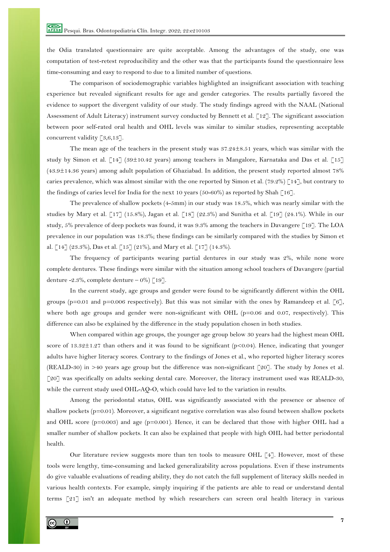the Odia translated questionnaire are quite acceptable. Among the advantages of the study, one was computation of test-retest reproducibility and the other was that the participants found the questionnaire less time-consuming and easy to respond to due to a limited number of questions.

The comparison of sociodemographic variables highlighted an insignificant association with teaching experience but revealed significant results for age and gender categories. The results partially favored the evidence to support the divergent validity of our study. The study findings agreed with the NAAL (National Assessment of Adult Literacy) instrument survey conducted by Bennett et al. [12]. The significant association between poor self-rated oral health and OHL levels was similar to similar studies, representing acceptable concurrent validity [3,6,13].

The mean age of the teachers in the present study was 37.24±8.51 years, which was similar with the study by Simon et al. [14] (39±10.42 years) among teachers in Mangalore, Karnataka and Das et al. [15] (43.9±14.36 years) among adult population of Ghaziabad. In addition, the present study reported almost 78% caries prevalence, which was almost similar with the one reported by Simon et al. (79.2%) [14], but contrary to the findings of caries level for India for the next 10 years (50-60%) as reported by Shah [16].

The prevalence of shallow pockets (4-5mm) in our study was 18.5%, which was nearly similar with the studies by Mary et al. [17] (15.8%), Jagan et al. [18] (22.3%) and Sunitha et al. [19] (24.1%). While in our study, 5% prevalence of deep pockets was found, it was 9.3% among the teachers in Davangere [19]. The LOA prevalence in our population was 18.3%; these findings can be similarly compared with the studies by Simon et al. [14] (23.3%), Das et al. [15] (21%), and Mary et al. [17] (14.3%).

The frequency of participants wearing partial dentures in our study was 2%, while none wore complete dentures. These findings were similar with the situation among school teachers of Davangere (partial denture -2.3%, complete denture – 0%)  $\lceil 19 \rceil$ .

In the current study, age groups and gender were found to be significantly different within the OHL groups (p=0.01 and p=0.006 respectively). But this was not similar with the ones by Ramandeep et al.  $[6]$ , where both age groups and gender were non-significant with OHL ( $p=0.06$  and 0.07, respectively). This difference can also be explained by the difference in the study population chosen in both studies.

When compared within age groups, the younger age group below 30 years had the highest mean OHL score of 13.32±1.27 than others and it was found to be significant (p<0.04). Hence, indicating that younger adults have higher literacy scores. Contrary to the findings of Jones et al., who reported higher literacy scores (REALD-30) in >40 years age group but the difference was non-significant [20]. The study by Jones et al. [20] was specifically on adults seeking dental care. Moreover, the literacy instrument used was REALD-30, while the current study used OHL-AQ-O, which could have led to the variation in results.

Among the periodontal status, OHL was significantly associated with the presence or absence of shallow pockets (p=0.01). Moreover, a significant negative correlation was also found between shallow pockets and OHL score  $(p=0.003)$  and age  $(p=0.001)$ . Hence, it can be declared that those with higher OHL had a smaller number of shallow pockets. It can also be explained that people with high OHL had better periodontal health.

Our literature review suggests more than ten tools to measure OHL [4]. However, most of these tools were lengthy, time-consuming and lacked generalizability across populations. Even if these instruments do give valuable evaluations of reading ability, they do not catch the full supplement of literacy skills needed in various health contexts. For example, simply inquiring if the patients are able to read or understand dental terms [21] isn't an adequate method by which researchers can screen oral health literacy in various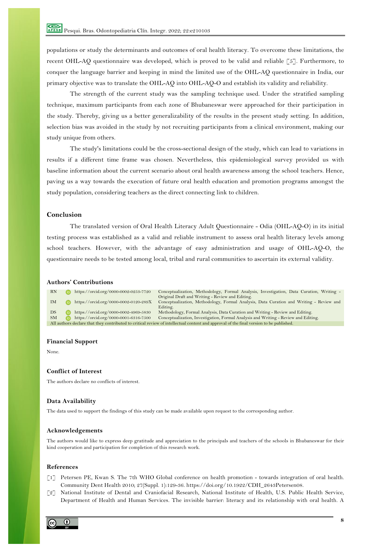populations or study the determinants and outcomes of oral health literacy. To overcome these limitations, the recent OHL-AQ questionnaire was developed, which is proved to be valid and reliable [5]. Furthermore, to conquer the language barrier and keeping in mind the limited use of the OHL-AQ questionnaire in India, our primary objective was to translate the OHL-AQ into OHL-AQ-O and establish its validity and reliability.

The strength of the current study was the sampling technique used. Under the stratified sampling technique, maximum participants from each zone of Bhubaneswar were approached for their participation in the study. Thereby, giving us a better generalizability of the results in the present study setting. In addition, selection bias was avoided in the study by not recruiting participants from a clinical environment, making our study unique from others.

The study's limitations could be the cross-sectional design of the study, which can lead to variations in results if a different time frame was chosen. Nevertheless, this epidemiological survey provided us with baseline information about the current scenario about oral health awareness among the school teachers. Hence, paving us a way towards the execution of future oral health education and promotion programs amongst the study population, considering teachers as the direct connecting link to children.

# **Conclusion**

The translated version of Oral Health Literacy Adult Questionnaire - Odia (OHL-AQ-O) in its initial testing process was established as a valid and reliable instrument to assess oral health literacy levels among school teachers. However, with the advantage of easy administration and usage of OHL-AQ-O, the questionnaire needs to be tested among local, tribal and rural communities to ascertain its external validity.

### **Authors' Contributions**



#### **Financial Support**

None.

# **Conflict of Interest**

The authors declare no conflicts of interest.

### **Data Availability**

The data used to support the findings of this study can be made available upon request to the corresponding author.

### **Acknowledgements**

The authors would like to express deep gratitude and appreciation to the principals and teachers of the schools in Bhubaneswar for their kind cooperation and participation for completion of this research work.

### **References**

- [1] Petersen PE, Kwan S. The 7th WHO Global conference on health promotion towards integration of oral health. Community Dent Health 2010; 27(Suppl. 1):129-36. https://doi.org/10.1922/CDH\_2643Petersen08.
- [2] National Institute of Dental and Craniofacial Research, National Institute of Health, U.S. Public Health Service, Department of Health and Human Services. The invisible barrier: literacy and its relationship with oral health. A